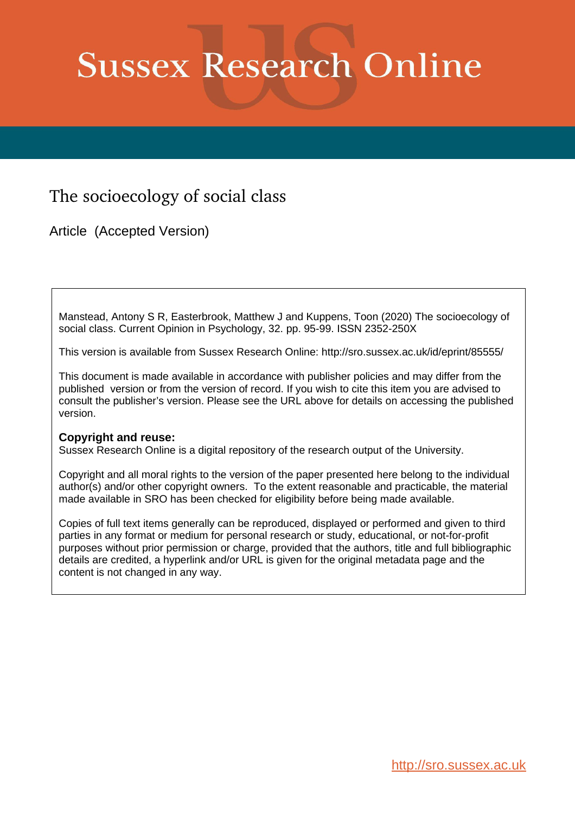# **Sussex Research Online**

# The socioecology of social class

Article (Accepted Version)

Manstead, Antony S R, Easterbrook, Matthew J and Kuppens, Toon (2020) The socioecology of social class. Current Opinion in Psychology, 32. pp. 95-99. ISSN 2352-250X

This version is available from Sussex Research Online: http://sro.sussex.ac.uk/id/eprint/85555/

This document is made available in accordance with publisher policies and may differ from the published version or from the version of record. If you wish to cite this item you are advised to consult the publisher's version. Please see the URL above for details on accessing the published version.

# **Copyright and reuse:**

Sussex Research Online is a digital repository of the research output of the University.

Copyright and all moral rights to the version of the paper presented here belong to the individual author(s) and/or other copyright owners. To the extent reasonable and practicable, the material made available in SRO has been checked for eligibility before being made available.

Copies of full text items generally can be reproduced, displayed or performed and given to third parties in any format or medium for personal research or study, educational, or not-for-profit purposes without prior permission or charge, provided that the authors, title and full bibliographic details are credited, a hyperlink and/or URL is given for the original metadata page and the content is not changed in any way.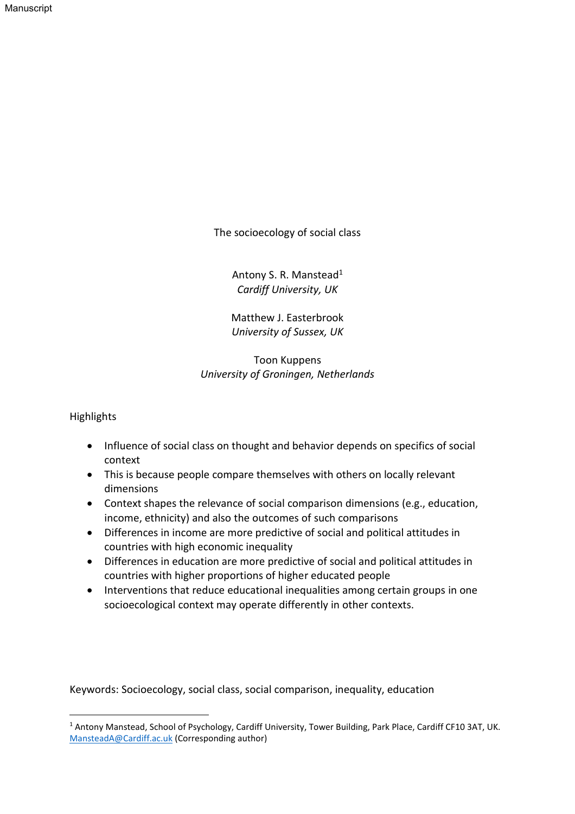The socioecology of social class

Antony S. R. Manstead<sup>1</sup> *Cardiff University, UK*

Matthew J. Easterbrook *University of Sussex, UK*

## Toon Kuppens *University of Groningen, Netherlands*

### **Highlights**

 $\overline{a}$ 

- Influence of social class on thought and behavior depends on specifics of social context
- This is because people compare themselves with others on locally relevant dimensions
- Context shapes the relevance of social comparison dimensions (e.g., education, income, ethnicity) and also the outcomes of such comparisons
- Differences in income are more predictive of social and political attitudes in countries with high economic inequality
- Differences in education are more predictive of social and political attitudes in countries with higher proportions of higher educated people
- Interventions that reduce educational inequalities among certain groups in one socioecological context may operate differently in other contexts.

Keywords: Socioecology, social class, social comparison, inequality, education

<sup>1</sup> Antony Manstead, School of Psychology, Cardiff University, Tower Building, Park Place, Cardiff CF10 3AT, UK. [MansteadA@Cardiff.ac.uk](mailto:MansteadA@Cardiff.ac.uk) (Corresponding author)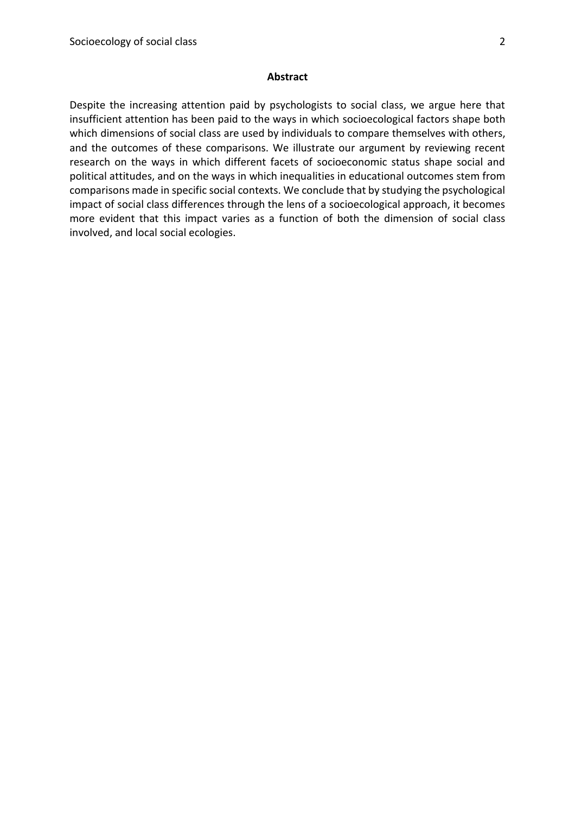#### **Abstract**

Despite the increasing attention paid by psychologists to social class, we argue here that insufficient attention has been paid to the ways in which socioecological factors shape both which dimensions of social class are used by individuals to compare themselves with others, and the outcomes of these comparisons. We illustrate our argument by reviewing recent research on the ways in which different facets of socioeconomic status shape social and political attitudes, and on the ways in which inequalities in educational outcomes stem from comparisons made in specific social contexts. We conclude that by studying the psychological impact of social class differences through the lens of a socioecological approach, it becomes more evident that this impact varies as a function of both the dimension of social class involved, and local social ecologies.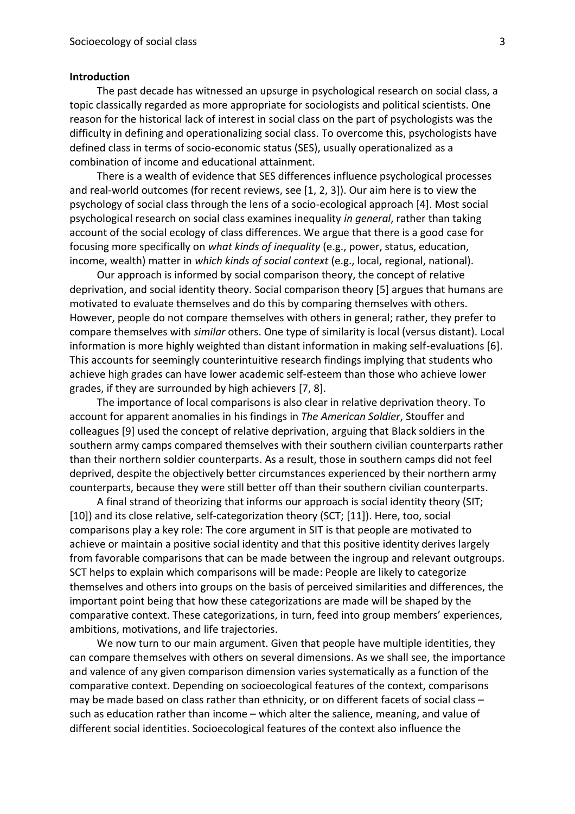#### **Introduction**

The past decade has witnessed an upsurge in psychological research on social class, a topic classically regarded as more appropriate for sociologists and political scientists. One reason for the historical lack of interest in social class on the part of psychologists was the difficulty in defining and operationalizing social class. To overcome this, psychologists have defined class in terms of socio-economic status (SES), usually operationalized as a combination of income and educational attainment.

There is a wealth of evidence that SES differences influence psychological processes and real-world outcomes (for recent reviews, see [1, 2, 3]). Our aim here is to view the psychology of social class through the lens of a socio-ecological approach [4]. Most social psychological research on social class examines inequality *in general*, rather than taking account of the social ecology of class differences. We argue that there is a good case for focusing more specifically on *what kinds of inequality* (e.g., power, status, education, income, wealth) matter in *which kinds of social context* (e.g., local, regional, national).

Our approach is informed by social comparison theory, the concept of relative deprivation, and social identity theory. Social comparison theory [5] argues that humans are motivated to evaluate themselves and do this by comparing themselves with others. However, people do not compare themselves with others in general; rather, they prefer to compare themselves with *similar* others. One type of similarity is local (versus distant). Local information is more highly weighted than distant information in making self-evaluations [6]. This accounts for seemingly counterintuitive research findings implying that students who achieve high grades can have lower academic self-esteem than those who achieve lower grades, if they are surrounded by high achievers [7, 8].

The importance of local comparisons is also clear in relative deprivation theory. To account for apparent anomalies in his findings in *The American Soldier*, Stouffer and colleagues [9] used the concept of relative deprivation, arguing that Black soldiers in the southern army camps compared themselves with their southern civilian counterparts rather than their northern soldier counterparts. As a result, those in southern camps did not feel deprived, despite the objectively better circumstances experienced by their northern army counterparts, because they were still better off than their southern civilian counterparts.

A final strand of theorizing that informs our approach is social identity theory (SIT; [10]) and its close relative, self-categorization theory (SCT; [11]). Here, too, social comparisons play a key role: The core argument in SIT is that people are motivated to achieve or maintain a positive social identity and that this positive identity derives largely from favorable comparisons that can be made between the ingroup and relevant outgroups. SCT helps to explain which comparisons will be made: People are likely to categorize themselves and others into groups on the basis of perceived similarities and differences, the important point being that how these categorizations are made will be shaped by the comparative context. These categorizations, in turn, feed into group members' experiences, ambitions, motivations, and life trajectories.

We now turn to our main argument. Given that people have multiple identities, they can compare themselves with others on several dimensions. As we shall see, the importance and valence of any given comparison dimension varies systematically as a function of the comparative context. Depending on socioecological features of the context, comparisons may be made based on class rather than ethnicity, or on different facets of social class – such as education rather than income – which alter the salience, meaning, and value of different social identities. Socioecological features of the context also influence the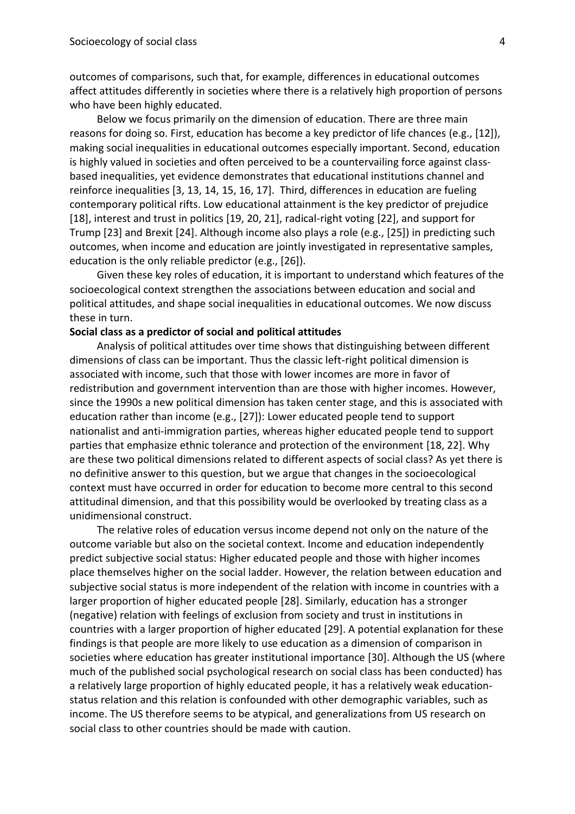outcomes of comparisons, such that, for example, differences in educational outcomes affect attitudes differently in societies where there is a relatively high proportion of persons who have been highly educated.

Below we focus primarily on the dimension of education. There are three main reasons for doing so. First, education has become a key predictor of life chances (e.g., [12]), making social inequalities in educational outcomes especially important. Second, education is highly valued in societies and often perceived to be a countervailing force against classbased inequalities, yet evidence demonstrates that educational institutions channel and reinforce inequalities [3, 13, 14, 15, 16, 17]. Third, differences in education are fueling contemporary political rifts. Low educational attainment is the key predictor of prejudice [18], interest and trust in politics [19, 20, 21], radical-right voting [22], and support for Trump [23] and Brexit [24]. Although income also plays a role (e.g., [25]) in predicting such outcomes, when income and education are jointly investigated in representative samples, education is the only reliable predictor (e.g., [26]).

Given these key roles of education, it is important to understand which features of the socioecological context strengthen the associations between education and social and political attitudes, and shape social inequalities in educational outcomes. We now discuss these in turn.

#### **Social class as a predictor of social and political attitudes**

Analysis of political attitudes over time shows that distinguishing between different dimensions of class can be important. Thus the classic left-right political dimension is associated with income, such that those with lower incomes are more in favor of redistribution and government intervention than are those with higher incomes. However, since the 1990s a new political dimension has taken center stage, and this is associated with education rather than income (e.g., [27]): Lower educated people tend to support nationalist and anti-immigration parties, whereas higher educated people tend to support parties that emphasize ethnic tolerance and protection of the environment [18, 22]. Why are these two political dimensions related to different aspects of social class? As yet there is no definitive answer to this question, but we argue that changes in the socioecological context must have occurred in order for education to become more central to this second attitudinal dimension, and that this possibility would be overlooked by treating class as a unidimensional construct.

The relative roles of education versus income depend not only on the nature of the outcome variable but also on the societal context. Income and education independently predict subjective social status: Higher educated people and those with higher incomes place themselves higher on the social ladder. However, the relation between education and subjective social status is more independent of the relation with income in countries with a larger proportion of higher educated people [28]. Similarly, education has a stronger (negative) relation with feelings of exclusion from society and trust in institutions in countries with a larger proportion of higher educated [29]. A potential explanation for these findings is that people are more likely to use education as a dimension of comparison in societies where education has greater institutional importance [30]. Although the US (where much of the published social psychological research on social class has been conducted) has a relatively large proportion of highly educated people, it has a relatively weak educationstatus relation and this relation is confounded with other demographic variables, such as income. The US therefore seems to be atypical, and generalizations from US research on social class to other countries should be made with caution.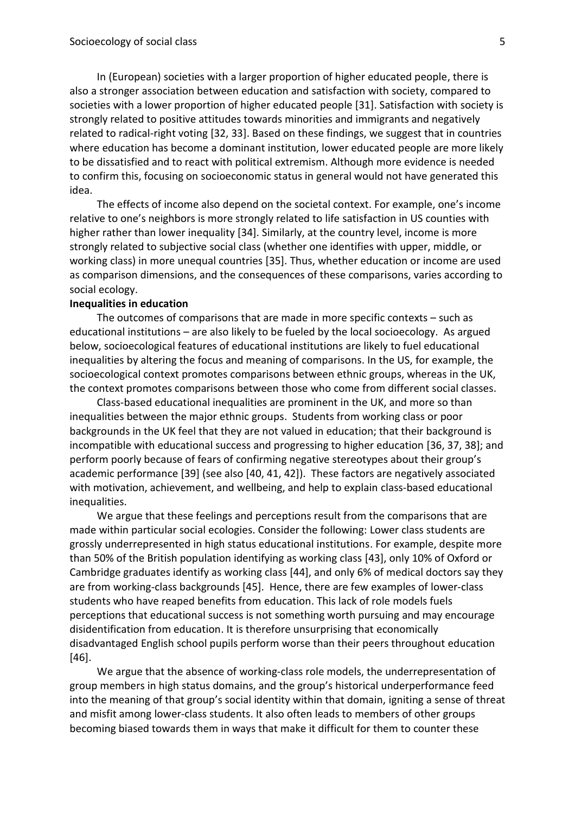In (European) societies with a larger proportion of higher educated people, there is also a stronger association between education and satisfaction with society, compared to societies with a lower proportion of higher educated people [31]. Satisfaction with society is strongly related to positive attitudes towards minorities and immigrants and negatively related to radical-right voting [32, 33]. Based on these findings, we suggest that in countries where education has become a dominant institution, lower educated people are more likely to be dissatisfied and to react with political extremism. Although more evidence is needed to confirm this, focusing on socioeconomic status in general would not have generated this idea.

The effects of income also depend on the societal context. For example, one's income relative to one's neighbors is more strongly related to life satisfaction in US counties with higher rather than lower inequality [34]. Similarly, at the country level, income is more strongly related to subjective social class (whether one identifies with upper, middle, or working class) in more unequal countries [35]. Thus, whether education or income are used as comparison dimensions, and the consequences of these comparisons, varies according to social ecology.

#### **Inequalities in education**

The outcomes of comparisons that are made in more specific contexts – such as educational institutions – are also likely to be fueled by the local socioecology. As argued below, socioecological features of educational institutions are likely to fuel educational inequalities by altering the focus and meaning of comparisons. In the US, for example, the socioecological context promotes comparisons between ethnic groups, whereas in the UK, the context promotes comparisons between those who come from different social classes.

Class-based educational inequalities are prominent in the UK, and more so than inequalities between the major ethnic groups. Students from working class or poor backgrounds in the UK feel that they are not valued in education; that their background is incompatible with educational success and progressing to higher education [36, 37, 38]; and perform poorly because of fears of confirming negative stereotypes about their group's academic performance [39] (see also [40, 41, 42]). These factors are negatively associated with motivation, achievement, and wellbeing, and help to explain class-based educational inequalities.

We argue that these feelings and perceptions result from the comparisons that are made within particular social ecologies. Consider the following: Lower class students are grossly underrepresented in high status educational institutions. For example, despite more than 50% of the British population identifying as working class [43], only 10% of Oxford or Cambridge graduates identify as working class [44], and only 6% of medical doctors say they are from working-class backgrounds [45]. Hence, there are few examples of lower-class students who have reaped benefits from education. This lack of role models fuels perceptions that educational success is not something worth pursuing and may encourage disidentification from education. It is therefore unsurprising that economically disadvantaged English school pupils perform worse than their peers throughout education [46].

We argue that the absence of working-class role models, the underrepresentation of group members in high status domains, and the group's historical underperformance feed into the meaning of that group's social identity within that domain, igniting a sense of threat and misfit among lower-class students. It also often leads to members of other groups becoming biased towards them in ways that make it difficult for them to counter these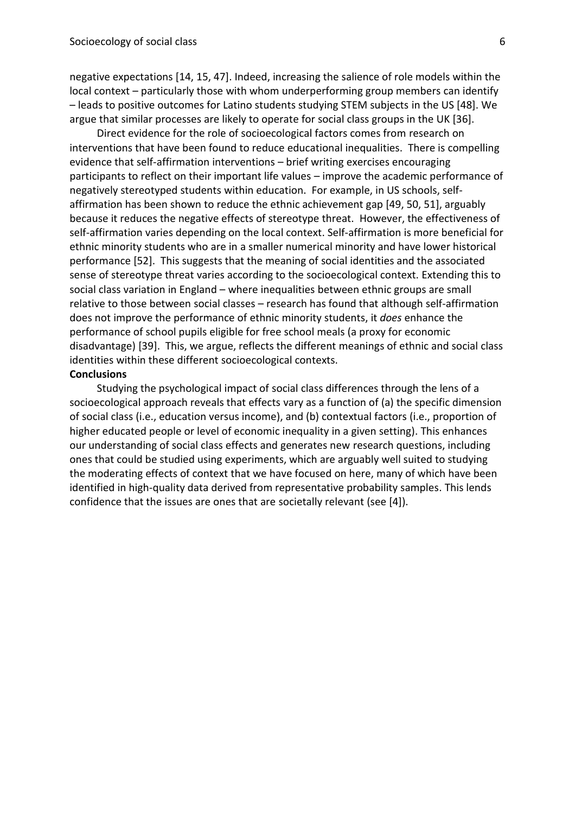negative expectations [14, 15, 47]. Indeed, increasing the salience of role models within the local context – particularly those with whom underperforming group members can identify – leads to positive outcomes for Latino students studying STEM subjects in the US [48]. We argue that similar processes are likely to operate for social class groups in the UK [36].

Direct evidence for the role of socioecological factors comes from research on interventions that have been found to reduce educational inequalities. There is compelling evidence that self-affirmation interventions – brief writing exercises encouraging participants to reflect on their important life values – improve the academic performance of negatively stereotyped students within education. For example, in US schools, selfaffirmation has been shown to reduce the ethnic achievement gap [49, 50, 51], arguably because it reduces the negative effects of stereotype threat. However, the effectiveness of self-affirmation varies depending on the local context. Self-affirmation is more beneficial for ethnic minority students who are in a smaller numerical minority and have lower historical performance [52]. This suggests that the meaning of social identities and the associated sense of stereotype threat varies according to the socioecological context. Extending this to social class variation in England – where inequalities between ethnic groups are small relative to those between social classes – research has found that although self-affirmation does not improve the performance of ethnic minority students, it *does* enhance the performance of school pupils eligible for free school meals (a proxy for economic disadvantage) [39]. This, we argue, reflects the different meanings of ethnic and social class identities within these different socioecological contexts.

#### **Conclusions**

Studying the psychological impact of social class differences through the lens of a socioecological approach reveals that effects vary as a function of (a) the specific dimension of social class (i.e., education versus income), and (b) contextual factors (i.e., proportion of higher educated people or level of economic inequality in a given setting). This enhances our understanding of social class effects and generates new research questions, including ones that could be studied using experiments, which are arguably well suited to studying the moderating effects of context that we have focused on here, many of which have been identified in high-quality data derived from representative probability samples. This lends confidence that the issues are ones that are societally relevant (see [4]).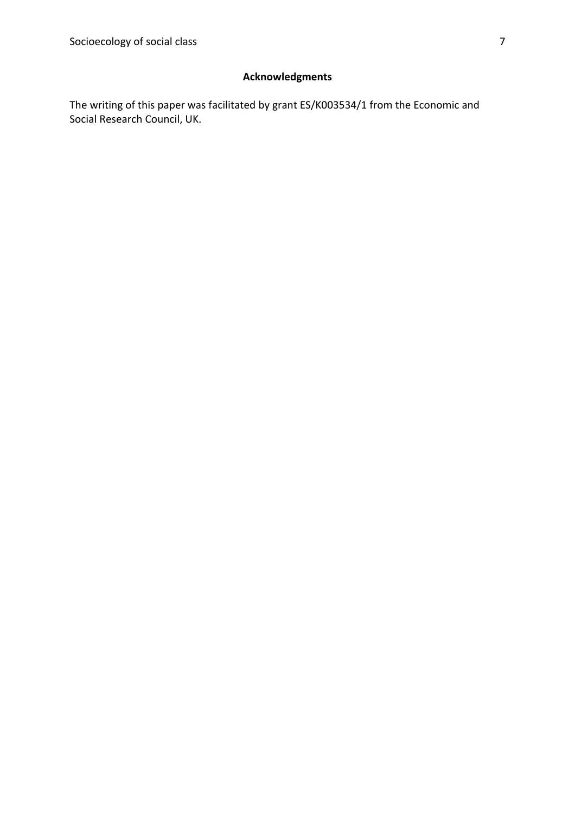# **Acknowledgments**

The writing of this paper was facilitated by grant ES/K003534/1 from the Economic and Social Research Council, UK.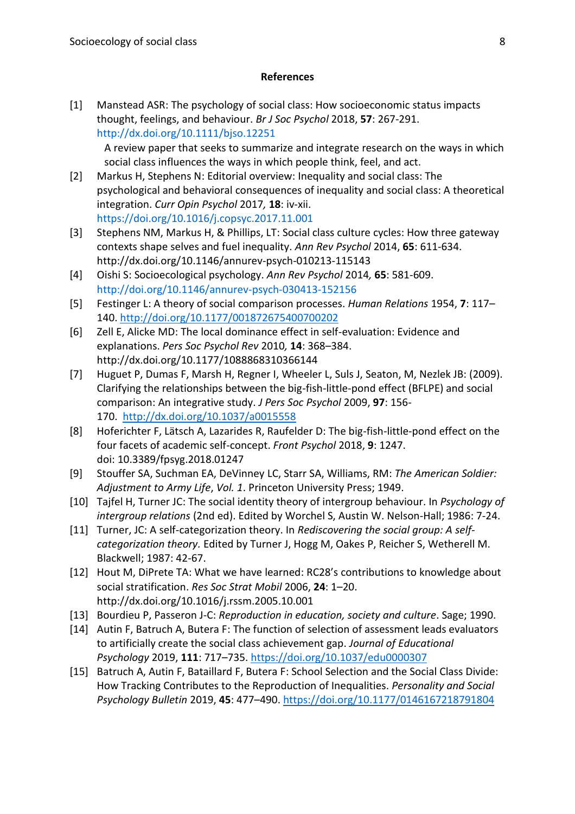# **References**

[1] Manstead ASR: The psychology of social class: How socioeconomic status impacts thought, feelings, and behaviour. *Br J Soc Psychol* 2018, **57**: 267-291. <http://dx.doi.org/10.1111/bjso.12251>

A review paper that seeks to summarize and integrate research on the ways in which social class influences the ways in which people think, feel, and act.

- [2] Markus H, Stephens N: Editorial overview: Inequality and social class: The psychological and behavioral consequences of inequality and social class: A theoretical integration. *Curr Opin Psychol* 2017*,* **18**: iv-xii. <https://doi.org/10.1016/j.copsyc.2017.11.001>
- [3] Stephens NM, Markus H, & Phillips, LT: Social class culture cycles: How three gateway contexts shape selves and fuel inequality. *Ann Rev Psychol* 2014, **65**: 611-634. http://dx.doi.org/10.1146/annurev-psych-010213-115143
- [4] Oishi S: Socioecological psychology. *Ann Rev Psychol* 2014*,* **65**: 581-609. <http://doi.org/10.1146/annurev-psych-030413-152156>
- [5] Festinger L: A theory of social comparison processes. *Human Relations* 1954, **7**: 117– 140.<http://doi.org/10.1177/001872675400700202>
- [6] Zell E, Alicke MD: The local dominance effect in self-evaluation: Evidence and explanations. *Pers Soc Psychol Rev* 2010*,* **14**: 368–384. http://dx.doi.org/10.1177/1088868310366144
- [7] Huguet P, Dumas F, Marsh H, Regner I, Wheeler L, Suls J, Seaton, M, Nezlek JB: (2009). Clarifying the relationships between the big-fish-little-pond effect (BFLPE) and social comparison: An integrative study. *J Pers Soc Psychol* 2009, **97**: 156- 170. <http://dx.doi.org/10.1037/a0015558>
- [8] Hoferichter F, Lätsch A, Lazarides R, Raufelder D: The big-fish-little-pond effect on the four facets of academic self-concept. *Front Psychol* 2018, **9**: 1247. doi: 10.3389/fpsyg.2018.01247
- [9] Stouffer SA, Suchman EA, DeVinney LC, Starr SA, Williams, RM: *The American Soldier: Adjustment to Army Life*, *Vol. 1*. Princeton University Press; 1949.
- [10] Tajfel H, Turner JC: The social identity theory of intergroup behaviour. In *Psychology of intergroup relations* (2nd ed). Edited by Worchel S, Austin W. Nelson-Hall; 1986: 7-24.
- [11] Turner, JC: A self-categorization theory. In *Rediscovering the social group: A selfcategorization theory.* Edited by Turner J, Hogg M, Oakes P, Reicher S, Wetherell M. Blackwell; 1987: 42-67.
- [12] Hout M, DiPrete TA: What we have learned: RC28's contributions to knowledge about social stratification. *Res Soc Strat Mobil* 2006, **24**: 1–20. http://dx.doi.org/10.1016/j.rssm.2005.10.001
- [13] Bourdieu P, Passeron J-C: *Reproduction in education, society and culture*. Sage; 1990.
- [14] Autin F, Batruch A, Butera F: The function of selection of assessment leads evaluators to artificially create the social class achievement gap. *Journal of Educational Psychology* 2019, **111**: 717–735.<https://doi.org/10.1037/edu0000307>
- [15] Batruch A, Autin F, Bataillard F, Butera F: School Selection and the Social Class Divide: How Tracking Contributes to the Reproduction of Inequalities. *Personality and Social Psychology Bulletin* 2019, **45**: 477–490.<https://doi.org/10.1177/0146167218791804>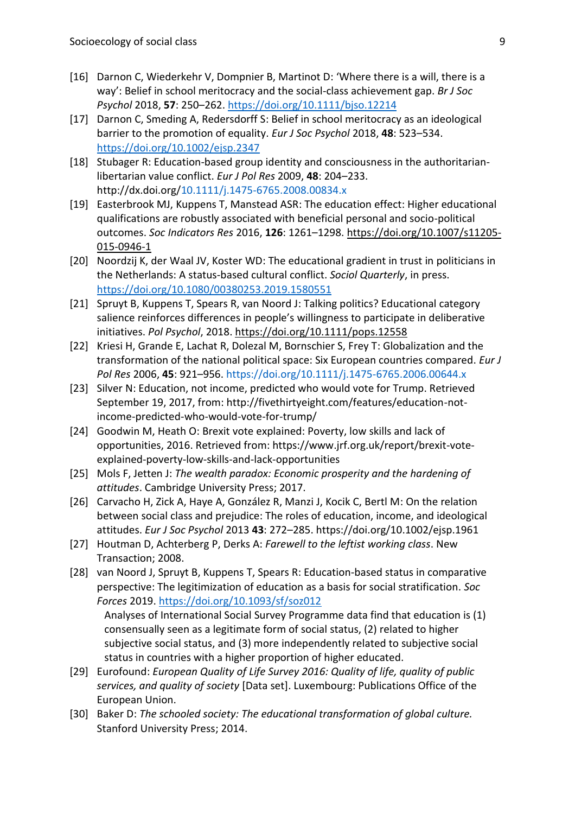- [16] Darnon C, Wiederkehr V, Dompnier B, Martinot D: 'Where there is a will, there is a way': Belief in school meritocracy and the social-class achievement gap. *Br J Soc Psychol* 2018, **57**: 250–262[. https://doi.org/10.1111/bjso.12214](https://doi.org/10.1111/bjso.12214)
- [17] Darnon C, Smeding A, Redersdorff S: Belief in school meritocracy as an ideological barrier to the promotion of equality. *Eur J Soc Psychol* 2018, **48**: 523–534. <https://doi.org/10.1002/ejsp.2347>
- [18] Stubager R: Education-based group identity and consciousness in the authoritarianlibertarian value conflict. *Eur J Pol Res* 2009, **48**: 204–233. http://dx.doi.org[/10.1111/j.1475-6765.2008.00834.x](https://doi.org/10.1111/j.1475-6765.2008.00834.x)
- [19] Easterbrook MJ, Kuppens T, Manstead ASR: The education effect: Higher educational qualifications are robustly associated with beneficial personal and socio-political outcomes. *Soc Indicators Res* 2016, **126**: 1261–1298. [https://doi.org/10.1007/s11205-](https://doi.org/10.1007/s11205-015-0946-1) [015-0946-1](https://doi.org/10.1007/s11205-015-0946-1)
- [20] Noordzij K, der Waal JV, Koster WD: The educational gradient in trust in politicians in the Netherlands: A status-based cultural conflict. *Sociol Quarterly*, in press. <https://doi.org/10.1080/00380253.2019.1580551>
- [21] Spruyt B, Kuppens T, Spears R, van Noord J: Talking politics? Educational category salience reinforces differences in people's willingness to participate in deliberative initiatives. *Pol Psychol*, 2018.<https://doi.org/10.1111/pops.12558>
- [22] Kriesi H, Grande E, Lachat R, Dolezal M, Bornschier S, Frey T: Globalization and the transformation of the national political space: Six European countries compared. *Eur J Pol Res* 2006, **45**: 921–956.<https://doi.org/10.1111/j.1475-6765.2006.00644.x>
- [23] Silver N: Education, not income, predicted who would vote for Trump. Retrieved September 19, 2017, from: http://fivethirtyeight.com/features/education-notincome-predicted-who-would-vote-for-trump/
- [24] Goodwin M, Heath O: Brexit vote explained: Poverty, low skills and lack of opportunities, 2016. Retrieved from: https://www.jrf.org.uk/report/brexit-voteexplained-poverty-low-skills-and-lack-opportunities
- [25] Mols F, Jetten J: *The wealth paradox: Economic prosperity and the hardening of attitudes*. Cambridge University Press; 2017.
- [26] Carvacho H, Zick A, Haye A, González R, Manzi J, Kocik C, Bertl M: On the relation between social class and prejudice: The roles of education, income, and ideological attitudes. *Eur J Soc Psychol* 2013 **43**: 272–285.<https://doi.org/10.1002/ejsp.1961>
- [27] Houtman D, Achterberg P, Derks A: *Farewell to the leftist working class*. New Transaction; 2008.
- [28] van Noord J, Spruyt B, Kuppens T, Spears R: Education-based status in comparative perspective: The legitimization of education as a basis for social stratification. *Soc Forces* 2019. <https://doi.org/10.1093/sf/soz012> Analyses of International Social Survey Programme data find that education is (1) consensually seen as a legitimate form of social status, (2) related to higher

subjective social status, and (3) more independently related to subjective social status in countries with a higher proportion of higher educated.

- [29] Eurofound: *European Quality of Life Survey 2016: Quality of life, quality of public services, and quality of society* [Data set]. Luxembourg: Publications Office of the European Union.
- [30] Baker D: *The schooled society: The educational transformation of global culture.* Stanford University Press; 2014.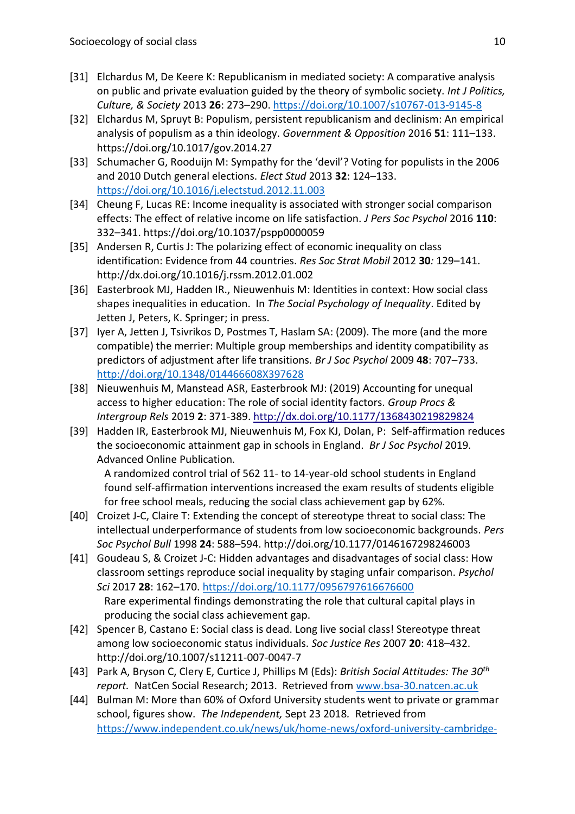- [31] Elchardus M, De Keere K: Republicanism in mediated society: A comparative analysis on public and private evaluation guided by the theory of symbolic society. *Int J Politics, Culture, & Society* 2013 **26**: 273–290[. https://doi.org/10.1007/s10767-013-9145-8](https://doi.org/10.1007/s10767-013-9145-8)
- [32] Elchardus M, Spruyt B: Populism, persistent republicanism and declinism: An empirical analysis of populism as a thin ideology. *Government & Opposition* 2016 **51**: 111–133. https://doi.org/10.1017/gov.2014.27
- [33] Schumacher G, Rooduijn M: Sympathy for the 'devil'? Voting for populists in the 2006 and 2010 Dutch general elections. *Elect Stud* 2013 **32**: 124–133. <https://doi.org/10.1016/j.electstud.2012.11.003>
- [34] Cheung F, Lucas RE: Income inequality is associated with stronger social comparison effects: The effect of relative income on life satisfaction. *J Pers Soc Psychol* 2016 **110**: 332–341. https://doi.org/10.1037/pspp0000059
- [35] Andersen R, Curtis J: The polarizing effect of economic inequality on class identification: Evidence from 44 countries. *Res Soc Strat Mobil* 2012 **30***:* 129–141. http://dx.doi.org/10.1016/j.rssm.2012.01.002
- [36] Easterbrook MJ, Hadden IR., Nieuwenhuis M: Identities in context: How social class shapes inequalities in education. In *The Social Psychology of Inequality*. Edited by Jetten J, Peters, K. Springer; in press.
- [37] Iyer A, Jetten J, Tsivrikos D, Postmes T, Haslam SA: (2009). The more (and the more compatible) the merrier: Multiple group memberships and identity compatibility as predictors of adjustment after life transitions. *Br J Soc Psychol* 2009 **48**: 707–733. <http://doi.org/10.1348/014466608X397628>
- [38] Nieuwenhuis M, Manstead ASR, Easterbrook MJ: (2019) Accounting for unequal access to higher education: The role of social identity factors. *Group Procs & Intergroup Rels* 2019 **2**: 371-389.<http://dx.doi.org/10.1177/1368430219829824>
- [39] Hadden IR, Easterbrook MJ, Nieuwenhuis M, Fox KJ, Dolan, P: Self-affirmation reduces the socioeconomic attainment gap in schools in England. *Br J Soc Psychol* 2019*.*  Advanced Online Publication*.*

A randomized control trial of 562 11- to 14-year-old school students in England found self-affirmation interventions increased the exam results of students eligible for free school meals, reducing the social class achievement gap by 62%.

- [40] Croizet J-C, Claire T: Extending the concept of stereotype threat to social class: The intellectual underperformance of students from low socioeconomic backgrounds. *Pers Soc Psychol Bull* 1998 **24**: 588–594. http://doi.org/10.1177/0146167298246003
- [41] Goudeau S, & Croizet J-C: Hidden advantages and disadvantages of social class: How classroom settings reproduce social inequality by staging unfair comparison. *Psychol Sci* 2017 **28**: 162–170.<https://doi.org/10.1177/0956797616676600> Rare experimental findings demonstrating the role that cultural capital plays in producing the social class achievement gap.
- [42] Spencer B, Castano E: Social class is dead. Long live social class! Stereotype threat among low socioeconomic status individuals. *Soc Justice Res* 2007 **20**: 418–432. http://doi.org/10.1007/s11211-007-0047-7
- [43] Park A, Bryson C, Clery E, Curtice J, Phillips M (Eds): *British Social Attitudes: The 30th report.* NatCen Social Research; 2013. Retrieved from [www.bsa-30.natcen.ac.uk](http://www.bsa-30.natcen.ac.uk/)
- [44] Bulman M: More than 60% of Oxford University students went to private or grammar school, figures show. *The Independent,* Sept 23 2018*.* Retrieved from [https://www.independent.co.uk/news/uk/home-news/oxford-university-cambridge-](https://www.independent.co.uk/news/uk/home-news/oxford-university-cambridge-state-school-socially-inclusive-ethnicity-sunday-times-guide-david-lammy-a8551036.html)